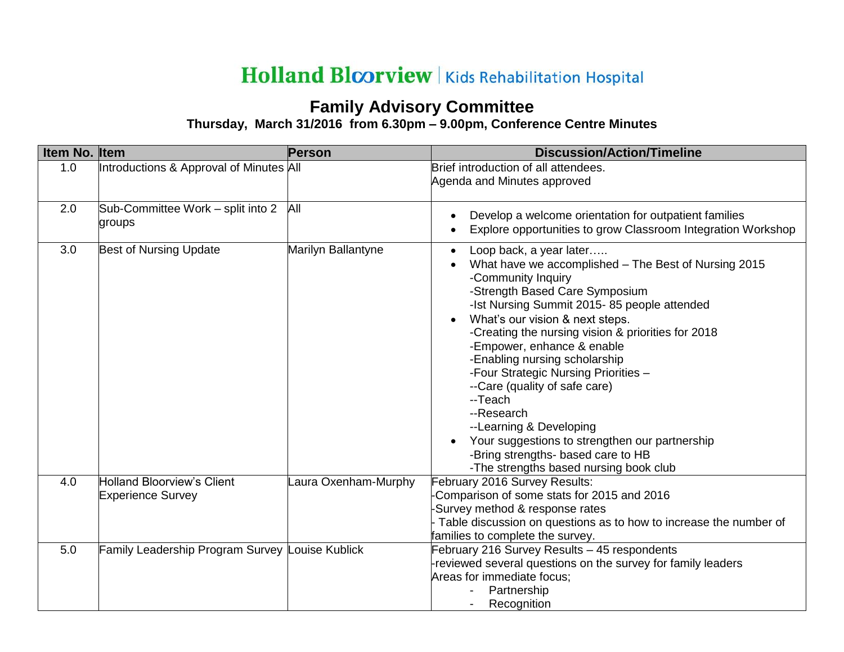## Holland Bloorview | Kids Rehabilitation Hospital

## **Family Advisory Committee**

## **Thursday, March 31/2016 from 6.30pm – 9.00pm, Conference Centre Minutes**

| Item No. Item |                                                 | <b>Person</b>        | <b>Discussion/Action/Timeline</b>                                                                                                                                                                                                                                                                                                                                                                                                                                                                     |
|---------------|-------------------------------------------------|----------------------|-------------------------------------------------------------------------------------------------------------------------------------------------------------------------------------------------------------------------------------------------------------------------------------------------------------------------------------------------------------------------------------------------------------------------------------------------------------------------------------------------------|
| 1.0           | Introductions & Approval of Minutes All         |                      | Brief introduction of all attendees.                                                                                                                                                                                                                                                                                                                                                                                                                                                                  |
|               |                                                 |                      | Agenda and Minutes approved                                                                                                                                                                                                                                                                                                                                                                                                                                                                           |
|               |                                                 |                      |                                                                                                                                                                                                                                                                                                                                                                                                                                                                                                       |
| 2.0           | Sub-Committee Work - split into 2               | All                  | Develop a welcome orientation for outpatient families<br>$\bullet$                                                                                                                                                                                                                                                                                                                                                                                                                                    |
|               | groups                                          |                      | Explore opportunities to grow Classroom Integration Workshop                                                                                                                                                                                                                                                                                                                                                                                                                                          |
| 3.0           | Best of Nursing Update                          | Marilyn Ballantyne   | Loop back, a year later<br>$\bullet$<br>What have we accomplished - The Best of Nursing 2015<br>-Community Inquiry<br>-Strength Based Care Symposium<br>-Ist Nursing Summit 2015-85 people attended<br>What's our vision & next steps.<br>$\bullet$<br>-Creating the nursing vision & priorities for 2018<br>-Empower, enhance & enable<br>-Enabling nursing scholarship<br>-Four Strategic Nursing Priorities -<br>--Care (quality of safe care)<br>--Teach<br>--Research<br>--Learning & Developing |
|               |                                                 |                      | Your suggestions to strengthen our partnership<br>$\bullet$<br>-Bring strengths- based care to HB                                                                                                                                                                                                                                                                                                                                                                                                     |
|               |                                                 |                      | -The strengths based nursing book club                                                                                                                                                                                                                                                                                                                                                                                                                                                                |
| 4.0           | <b>Holland Bloorview's Client</b>               | Laura Oxenham-Murphy | February 2016 Survey Results:                                                                                                                                                                                                                                                                                                                                                                                                                                                                         |
|               | <b>Experience Survey</b>                        |                      | Comparison of some stats for 2015 and 2016                                                                                                                                                                                                                                                                                                                                                                                                                                                            |
|               |                                                 |                      | Survey method & response rates                                                                                                                                                                                                                                                                                                                                                                                                                                                                        |
|               |                                                 |                      | Table discussion on questions as to how to increase the number of                                                                                                                                                                                                                                                                                                                                                                                                                                     |
|               |                                                 |                      | families to complete the survey.                                                                                                                                                                                                                                                                                                                                                                                                                                                                      |
| 5.0           | Family Leadership Program Survey Louise Kublick |                      | February 216 Survey Results - 45 respondents                                                                                                                                                                                                                                                                                                                                                                                                                                                          |
|               |                                                 |                      | reviewed several questions on the survey for family leaders                                                                                                                                                                                                                                                                                                                                                                                                                                           |
|               |                                                 |                      | Areas for immediate focus;                                                                                                                                                                                                                                                                                                                                                                                                                                                                            |
|               |                                                 |                      | Partnership                                                                                                                                                                                                                                                                                                                                                                                                                                                                                           |
|               |                                                 |                      | Recognition                                                                                                                                                                                                                                                                                                                                                                                                                                                                                           |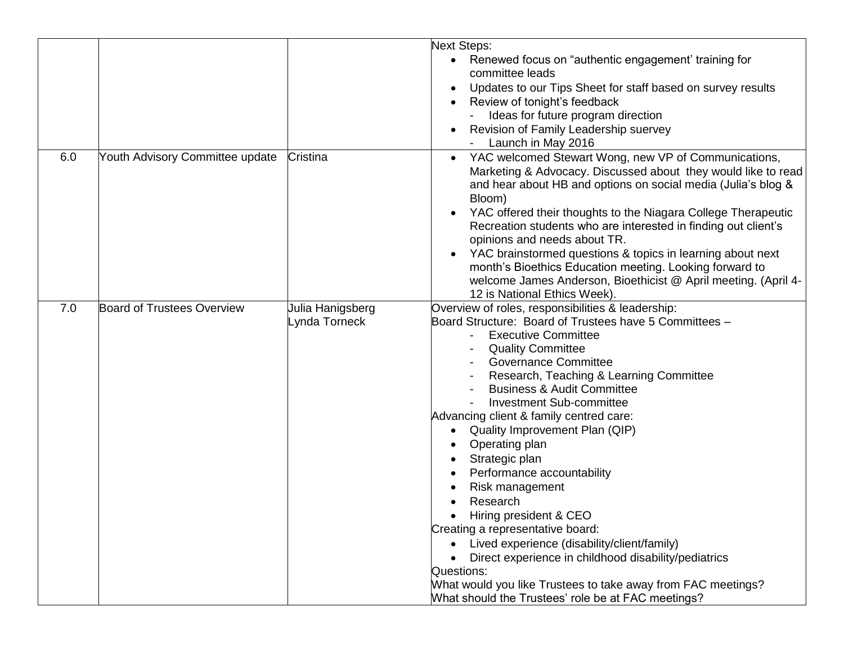|     |                                 |                                   | <b>Next Steps:</b><br>Renewed focus on "authentic engagement' training for<br>$\bullet$<br>committee leads<br>Updates to our Tips Sheet for staff based on survey results<br>$\bullet$<br>Review of tonight's feedback<br>Ideas for future program direction<br>Revision of Family Leadership suervey<br>Launch in May 2016                                                                                                                                                                                                                                                                                                                                                                                                                                                                                                                                            |
|-----|---------------------------------|-----------------------------------|------------------------------------------------------------------------------------------------------------------------------------------------------------------------------------------------------------------------------------------------------------------------------------------------------------------------------------------------------------------------------------------------------------------------------------------------------------------------------------------------------------------------------------------------------------------------------------------------------------------------------------------------------------------------------------------------------------------------------------------------------------------------------------------------------------------------------------------------------------------------|
| 6.0 | Youth Advisory Committee update | Cristina                          | YAC welcomed Stewart Wong, new VP of Communications,<br>$\bullet$<br>Marketing & Advocacy. Discussed about they would like to read<br>and hear about HB and options on social media (Julia's blog &<br>Bloom)<br>YAC offered their thoughts to the Niagara College Therapeutic<br>$\bullet$<br>Recreation students who are interested in finding out client's<br>opinions and needs about TR.<br>YAC brainstormed questions & topics in learning about next<br>month's Bioethics Education meeting. Looking forward to<br>welcome James Anderson, Bioethicist @ April meeting. (April 4-<br>12 is National Ethics Week).                                                                                                                                                                                                                                               |
| 7.0 | Board of Trustees Overview      | Julia Hanigsberg<br>_ynda Torneck | Overview of roles, responsibilities & leadership:<br>Board Structure: Board of Trustees have 5 Committees -<br><b>Executive Committee</b><br><b>Quality Committee</b><br><b>Governance Committee</b><br>Research, Teaching & Learning Committee<br><b>Business &amp; Audit Committee</b><br><b>Investment Sub-committee</b><br>Advancing client & family centred care:<br>Quality Improvement Plan (QIP)<br>Operating plan<br>$\bullet$<br>Strategic plan<br>$\bullet$<br>Performance accountability<br>$\bullet$<br>Risk management<br>Research<br>Hiring president & CEO<br>Creating a representative board:<br>Lived experience (disability/client/family)<br>$\bullet$<br>Direct experience in childhood disability/pediatrics<br>Questions:<br>What would you like Trustees to take away from FAC meetings?<br>What should the Trustees' role be at FAC meetings? |